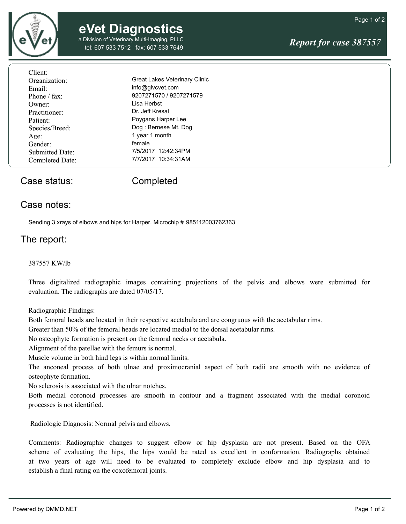

a Division of Veterinary Multi-Imaging, PLLC Division of Veterinary Multi-Imaging, PLLC<br>tel: 607 533 7512 fax: 607 533 7649 fel: 607 533 7649

Page 1 of 2

| Client:                |                               |
|------------------------|-------------------------------|
| Organization:          | Great Lakes Veterinary Clinic |
| Email:                 | info@glvcvet.com              |
| Phone / fax:           | 9207271570 / 9207271579       |
| Owner:                 | Lisa Herbst                   |
| Practitioner:          | Dr. Jeff Kresal               |
| Patient:               | Poygans Harper Lee            |
| Species/Breed:         | Dog: Bernese Mt. Dog          |
| Age:                   | 1 year 1 month                |
| Gender:                | female                        |
| <b>Submitted Date:</b> | 7/5/2017 12:42:34PM           |
| Completed Date:        | 7/7/2017 10:34:31AM           |
|                        |                               |

### Case status: Completed

#### Case notes:

Sending 3 xrays of elbows and hips for Harper. Microchip # 985112003762363

#### The report:

#### 387557 KW/lb

Three digitalized radiographic images containing projections of the pelvis and elbows were submitted for evaluation. The radiographs are dated 07/05/17.

Radiographic Findings:

Both femoral heads are located in their respective acetabula and are congruous with the acetabular rims.

Greater than 50% of the femoral heads are located medial to the dorsal acetabular rims.

No osteophyte formation is present on the femoral necks or acetabula.

Alignment of the patellae with the femurs is normal.

Muscle volume in both hind legs is within normal limits.

The anconeal process of both ulnae and proximocranial aspect of both radii are smooth with no evidence of osteophyte formation.

No sclerosis is associated with the ulnar notches.

Both medial coronoid processes are smooth in contour and a fragment associated with the medial coronoid processes is not identified.

Radiologic Diagnosis: Normal pelvis and elbows.

Comments: Radiographic changes to suggest elbow or hip dysplasia are not present. Based on the OFA scheme of evaluating the hips, the hips would be rated as excellent in conformation. Radiographs obtained at two years of age will need to be evaluated to completely exclude elbow and hip dysplasia and to establish a final rating on the coxofemoral joints.